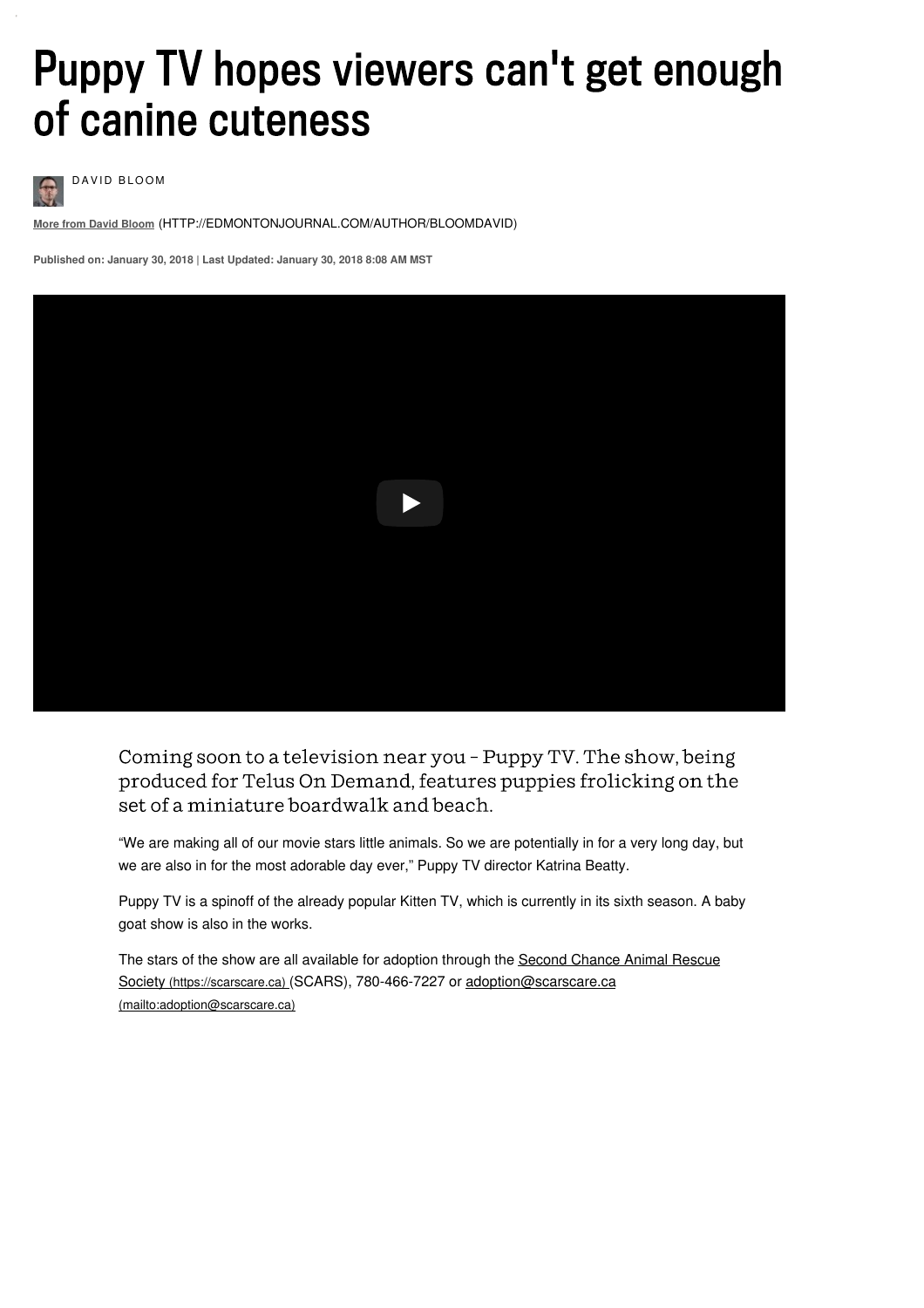# Puppy TV hopes viewers can't get enough of canine cuteness



DAVID BLOOM

**More from David Bloom** [\(HTTP://EDMONTONJOURNAL.COM/AUTHOR/BLOOMDAVID\)](http://edmontonjournal.com/author/bloomdavid)

**Published on: January 30, 2018 | Last Updated: January 30, 2018 8:08 AM MST**



Coming soon to a television near you - Puppy TV. The show, being produced for Telus On Demand, features puppies frolicking on the set of a miniature boardwalk and beach.

"We are making all of our movie stars little animals. So we are potentially in for a very long day, but we are also in for the most adorable day ever," Puppy TV director Katrina Beatty.

Puppy TV is a spinoff of the already popular Kitten TV, which is currently in its sixth season. A baby goat show is also in the works.

The stars of the show are all available for adoption through the Second Chance Animal Rescue Society (https://scarscare.ca) (SCARS), 780-466-7227 or [adoption@scarscare.ca](https://scarscare.ca/) [\(mailto:adoption@scarscare.ca\)](mailto:adoption@scarscare.ca)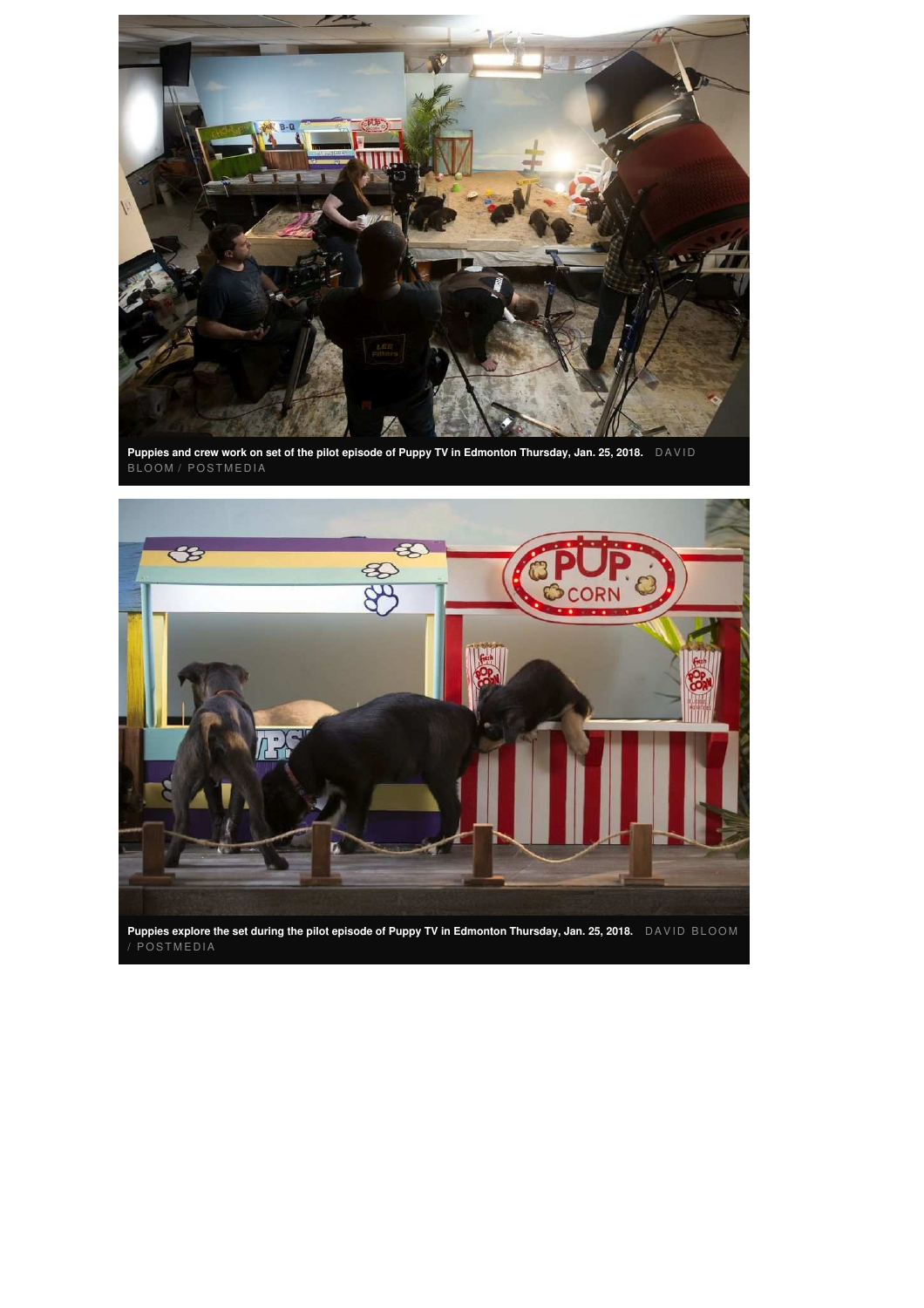

Puppies and crew work on set of the pilot episode of Puppy TV in Edmonton Thursday, Jan. 25, 2018.  $\;$  <code>DAVID</code> BLOOM / POSTMEDIA

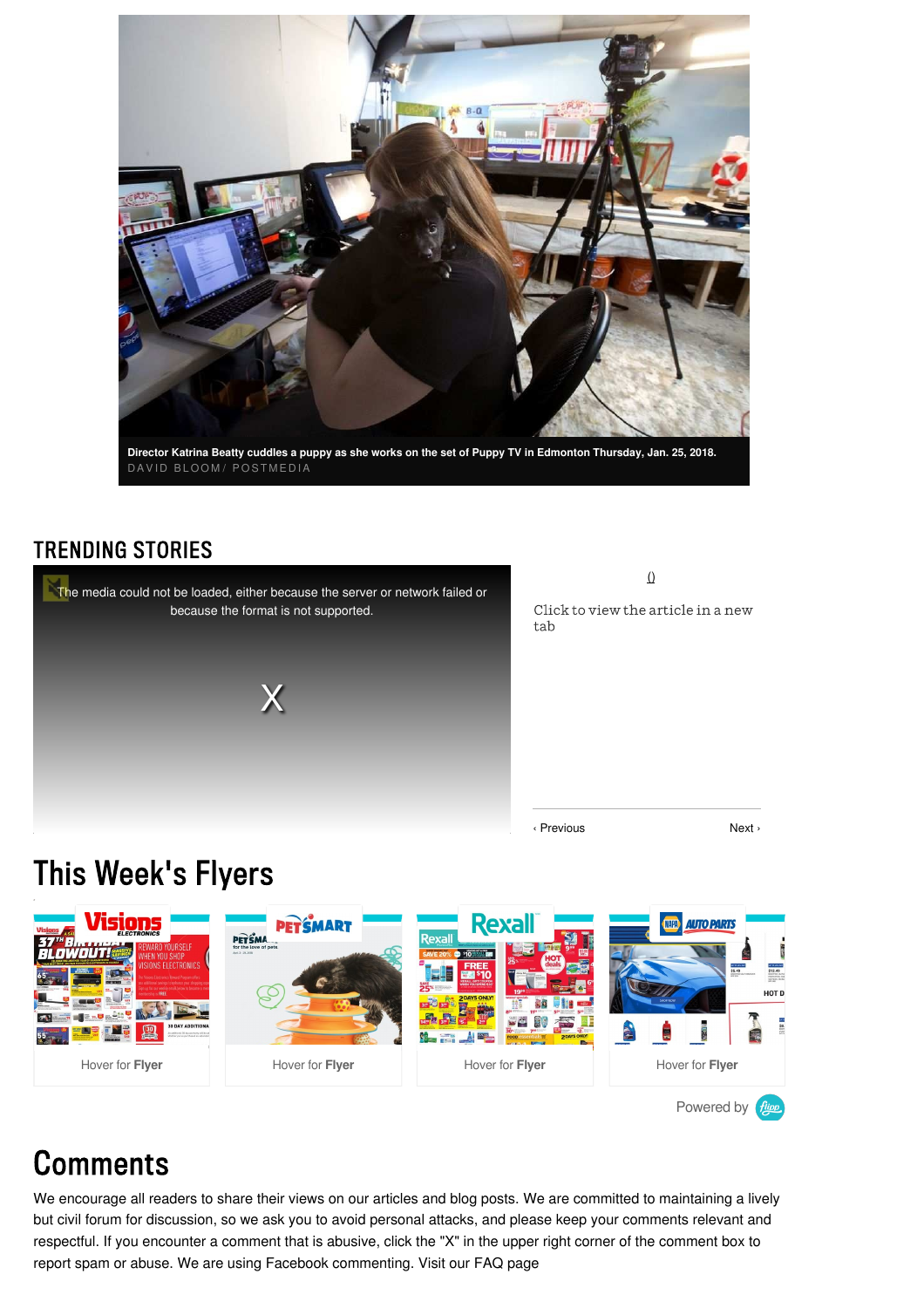

Director Katrina Beatty cuddles a puppy as she works on the set of Puppy TV in Edmonton Thursday, Jan. 25, 2018. DAVID BLOOM/ POSTMEDIA

#### **TRENDING STORIES**



 $\overline{0}$ 

Click to view the article in a new tab

‹ Previous Next ›

## This Week's Flyers



## **Comments**

We encourage all readers to share their views on our articles and blog posts. We are committed to maintaining a lively but civil forum for discussion, so we ask you to avoid personal attacks, and please keep your comments relevant and respectful. If you encounter a comment that is abusive, click the "X" in the upper right corner of the comment box to report spam or abuse. We are using Facebook [commenting.](http://www.edmontonjournal.com/news/story.html?id=7195492) Visit our FAQ page